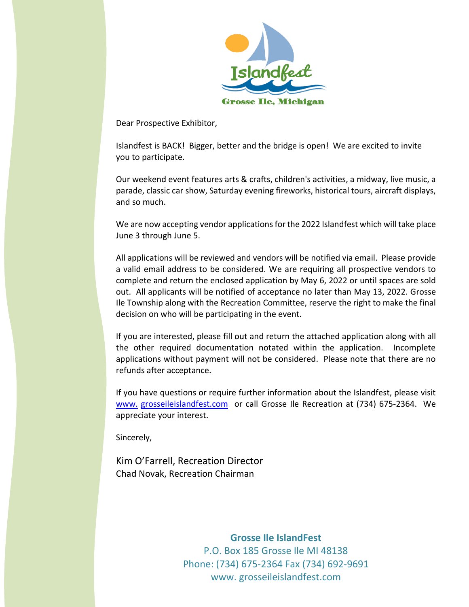

Dear Prospective Exhibitor,

Islandfest is BACK! Bigger, better and the bridge is open! We are excited to invite you to participate.

Our weekend event features arts & crafts, children's activities, a midway, live music, a parade, classic car show, Saturday evening fireworks, historical tours, aircraft displays, and so much.

We are now accepting vendor applications for the 2022 Islandfest which will take place June 3 through June 5.

All applications will be reviewed and vendors will be notified via email. Please provide a valid email address to be considered. We are requiring all prospective vendors to complete and return the enclosed application by May 6, 2022 or until spaces are sold out. All applicants will be notified of acceptance no later than May 13, 2022. Grosse Ile Township along with the Recreation Committee, reserve the right to make the final decision on who will be participating in the event.

If you are interested, please fill out and return the attached application along with all the other required documentation notated within the application. Incomplete applications without payment will not be considered. Please note that there are no refunds after acceptance.

If you have questions or require further information about the Islandfest, please visit www. [grosseileislandfest.com](http://www.islandfestgrosseile.com/) or call Grosse Ile Recreation at (734) 675-2364. We appreciate your interest.

Sincerely,

Kim O'Farrell, Recreation Director Chad Novak, Recreation Chairman

> **Grosse Ile IslandFest** P.O. Box 185 Grosse Ile MI 48138 Phone: (734) 675-2364 Fax (734) 692-9691 www. grosseileislandfest.com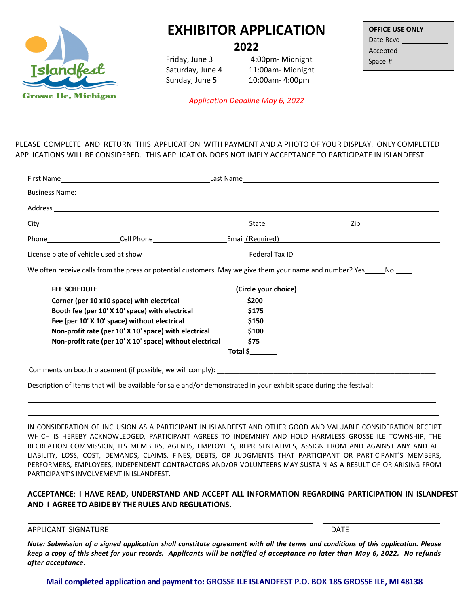

## **EXHIBITOR APPLICATION**

**2022**

Friday, June 3 4:00pm- Midnight Saturday, June 4 11:00am- Midnight Sunday, June 5 10:00am- 4:00pm

| <b>OFFICE USE ONLY</b> |  |  |
|------------------------|--|--|
| Date Rcvd              |  |  |
| Accepted               |  |  |
| Space #                |  |  |

*Application Deadline May 6, 2022*

PLEASE COMPLETE AND RETURN THIS APPLICATION WITH PAYMENT AND A PHOTO OF YOUR DISPLAY. ONLY COMPLETED APPLICATIONS WILL BE CONSIDERED. THIS APPLICATION DOES NOT IMPLY ACCEPTANCE TO PARTICIPATE IN ISLANDFEST.

|                                                               | Business Name: 1988 Contract Contract Contract Contract Contract Contract Contract Contract Contract Contract Contract Contract Contract Contract Contract Contract Contract Contract Contract Contract Contract Contract Cont |  |
|---------------------------------------------------------------|--------------------------------------------------------------------------------------------------------------------------------------------------------------------------------------------------------------------------------|--|
|                                                               |                                                                                                                                                                                                                                |  |
|                                                               |                                                                                                                                                                                                                                |  |
|                                                               |                                                                                                                                                                                                                                |  |
|                                                               |                                                                                                                                                                                                                                |  |
|                                                               | We often receive calls from the press or potential customers. May we give them your name and number? Yes_____No ____                                                                                                           |  |
| <b>FEE SCHEDULE</b>                                           | (Circle your choice)                                                                                                                                                                                                           |  |
| Corner (per 10 x10 space) with electrical                     | \$200                                                                                                                                                                                                                          |  |
| Booth fee (per 10' X 10' space) with electrical               | \$175                                                                                                                                                                                                                          |  |
| Fee (per 10' X 10' space) without electrical                  | \$150                                                                                                                                                                                                                          |  |
| Non-profit rate (per 10' X 10' space) with electrical         | \$100                                                                                                                                                                                                                          |  |
| Non-profit rate (per 10' X 10' space) without electrical      | \$75                                                                                                                                                                                                                           |  |
|                                                               | Total \$                                                                                                                                                                                                                       |  |
| Comments on booth placement (if possible, we will comply): __ |                                                                                                                                                                                                                                |  |

Description of items that will be available for sale and/or demonstrated in your exhibit space during the festival:

IN CONSIDERATION OF INCLUSION AS A PARTICIPANT IN ISLANDFEST AND OTHER GOOD AND VALUABLE CONSIDERATION RECEIPT WHICH IS HEREBY ACKNOWLEDGED, PARTICIPANT AGREES TO INDEMNIFY AND HOLD HARMLESS GROSSE ILE TOWNSHIP, THE RECREATION COMMISSION, ITS MEMBERS, AGENTS, EMPLOYEES, REPRESENTATIVES, ASSIGN FROM AND AGAINST ANY AND ALL LIABILITY, LOSS, COST, DEMANDS, CLAIMS, FINES, DEBTS, OR JUDGMENTS THAT PARTICIPANT OR PARTICIPANT'S MEMBERS, PERFORMERS, EMPLOYEES, INDEPENDENT CONTRACTORS AND/OR VOLUNTEERS MAY SUSTAIN AS A RESULT OF OR ARISING FROM PARTICIPANT'S INVOLVEMENT IN ISLANDFEST.

## **ACCEPTANCE**: **I HAVE READ, UNDERSTAND AND ACCEPT ALL INFORMATION REGARDING PARTICIPATION IN ISLANDFEST AND I AGREE TO ABIDE BY THE RULES AND REGULATIONS.**

APPLICANT SIGNATURE **DATE** 

Note: Submission of a signed application shall constitute agreement with all the terms and conditions of this application. Please *keep a copy of this sheet for your records. Applicants will be notified of acceptance no later than May 6, 2022. No refunds after acceptance.* 

**Mail completed application and payment to: GROSSE ILE ISLANDFEST P.O. BOX 185 GROSSE ILE, MI 48138**